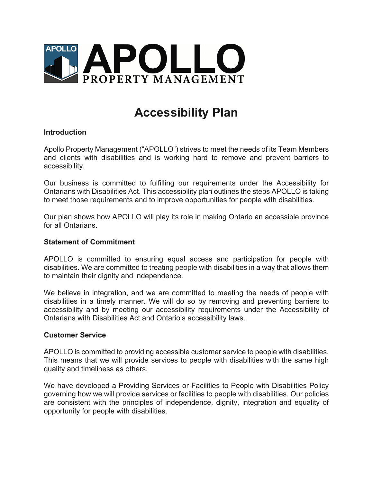

# **Accessibility Plan**

## **Introduction**

Apollo Property Management ("APOLLO") strives to meet the needs of its Team Members and clients with disabilities and is working hard to remove and prevent barriers to accessibility.

Our business is committed to fulfilling our requirements under the Accessibility for Ontarians with Disabilities Act. This accessibility plan outlines the steps APOLLO is taking to meet those requirements and to improve opportunities for people with disabilities.

Our plan shows how APOLLO will play its role in making Ontario an accessible province for all Ontarians.

#### **Statement of Commitment**

APOLLO is committed to ensuring equal access and participation for people with disabilities. We are committed to treating people with disabilities in a way that allows them to maintain their dignity and independence.

We believe in integration, and we are committed to meeting the needs of people with disabilities in a timely manner. We will do so by removing and preventing barriers to accessibility and by meeting our accessibility requirements under the Accessibility of Ontarians with Disabilities Act and Ontario's accessibility laws.

## **Customer Service**

APOLLO is committed to providing accessible customer service to people with disabilities. This means that we will provide services to people with disabilities with the same high quality and timeliness as others.

We have developed a Providing Services or Facilities to People with Disabilities Policy governing how we will provide services or facilities to people with disabilities. Our policies are consistent with the principles of independence, dignity, integration and equality of opportunity for people with disabilities.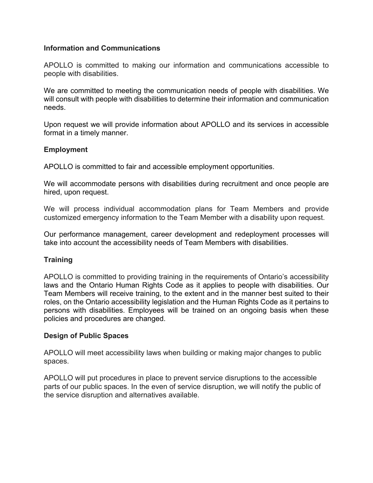## **Information and Communications**

APOLLO is committed to making our information and communications accessible to people with disabilities.

We are committed to meeting the communication needs of people with disabilities. We will consult with people with disabilities to determine their information and communication needs.

Upon request we will provide information about APOLLO and its services in accessible format in a timely manner.

## **Employment**

APOLLO is committed to fair and accessible employment opportunities.

We will accommodate persons with disabilities during recruitment and once people are hired, upon request.

We will process individual accommodation plans for Team Members and provide customized emergency information to the Team Member with a disability upon request.

Our performance management, career development and redeployment processes will take into account the accessibility needs of Team Members with disabilities.

## **Training**

APOLLO is committed to providing training in the requirements of Ontario's accessibility laws and the Ontario Human Rights Code as it applies to people with disabilities. Our Team Members will receive training, to the extent and in the manner best suited to their roles, on the Ontario accessibility legislation and the Human Rights Code as it pertains to persons with disabilities. Employees will be trained on an ongoing basis when these policies and procedures are changed.

## **Design of Public Spaces**

APOLLO will meet accessibility laws when building or making major changes to public spaces.

APOLLO will put procedures in place to prevent service disruptions to the accessible parts of our public spaces. In the even of service disruption, we will notify the public of the service disruption and alternatives available.